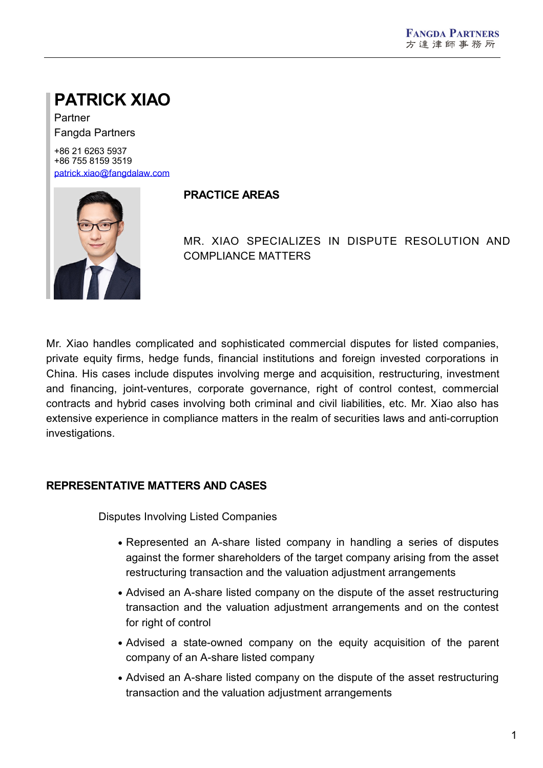# **PATRICK XIAO**

Partner Fangda Partners

+86 21 6263 5937 +86 755 8159 3519 [patrick.xiao@fangdalaw.com](mailto:patrick.xiao@fangdalaw.com)



#### **PRACTICE AREAS**

MR. XIAO SPECIALIZES IN DISPUTE RESOLUTION AND COMPLIANCE MATTERS

Mr. Xiao handles complicated and sophisticated commercial disputes for listed companies, private equity firms, hedge funds, financial institutions and foreign invested corporations in China. His cases include disputes involving merge and acquisition, restructuring, investment and financing, joint-ventures, corporate governance, right of control contest, commercial contracts and hybrid cases involving both criminal and civil liabilities, etc. Mr. Xiao also has extensive experience in compliance matters in the realm of securities laws and anti-corruption investigations.

### **REPRESENTATIVE MATTERS AND CASES**

Disputes Involving Listed Companies

- Represented an A-share listed company in handling a series of disputes against the former shareholders of the target company arising from the asset restructuring transaction and the valuation adjustment arrangements
- Advised an A-share listed company on the dispute of the asset restructuring transaction and the valuation adjustment arrangements and on the contest for right of control
- Advised a state-owned company on the equity acquisition of the parent company of an A-share listed company
- Advised an A-share listed company on the dispute of the asset restructuring transaction and the valuation adjustment arrangements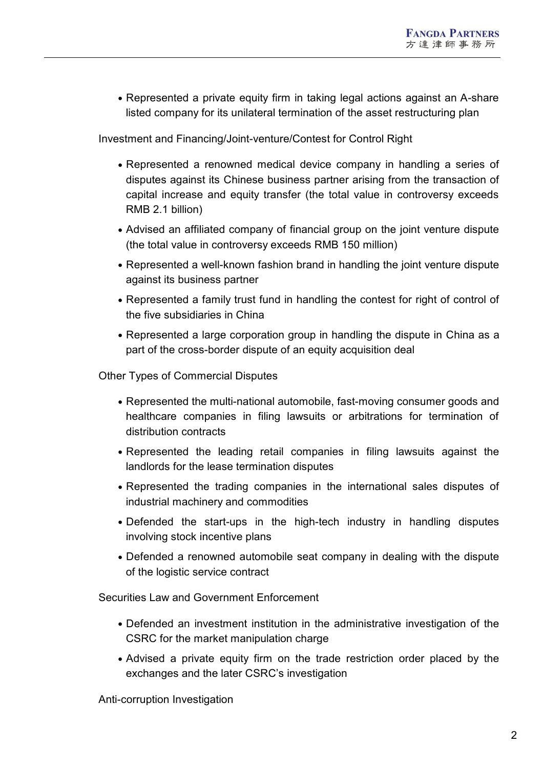Represented a private equity firm in taking legal actions against an A-share listed company for its unilateral termination of the asset restructuring plan

Investment and Financing/Joint-venture/Contest for Control Right

- Represented a renowned medical device company in handling a series of disputes against its Chinese business partner arising from the transaction of capital increase and equity transfer (the total value in controversy exceeds RMB 2.1 billion)
- Advised an affiliated company of financial group on the joint venture dispute (the total value in controversy exceeds RMB 150 million)
- Represented a well-known fashion brand in handling the joint venture dispute against its business partner
- Represented a family trust fund in handling the contest for right of control of the five subsidiaries in China
- Represented a large corporation group in handling the dispute in China as a part of the cross-border dispute of an equity acquisition deal

Other Types of Commercial Disputes

- Represented the multi-national automobile, fast-moving consumer goods and healthcare companies in filing lawsuits or arbitrations for termination of distribution contracts
- Represented the leading retail companies in filing lawsuits against the landlords for the lease termination disputes
- Represented the trading companies in the international sales disputes of industrial machinery and commodities
- Defended the start-ups in the high-tech industry in handling disputes involving stock incentive plans
- Defended a renowned automobile seat company in dealing with the dispute of the logistic service contract

Securities Law and Government Enforcement

- Defended an investment institution in the administrative investigation of the CSRC for the market manipulation charge
- Advised a private equity firm on the trade restriction order placed by the exchanges and the later CSRC's investigation

Anti-corruption Investigation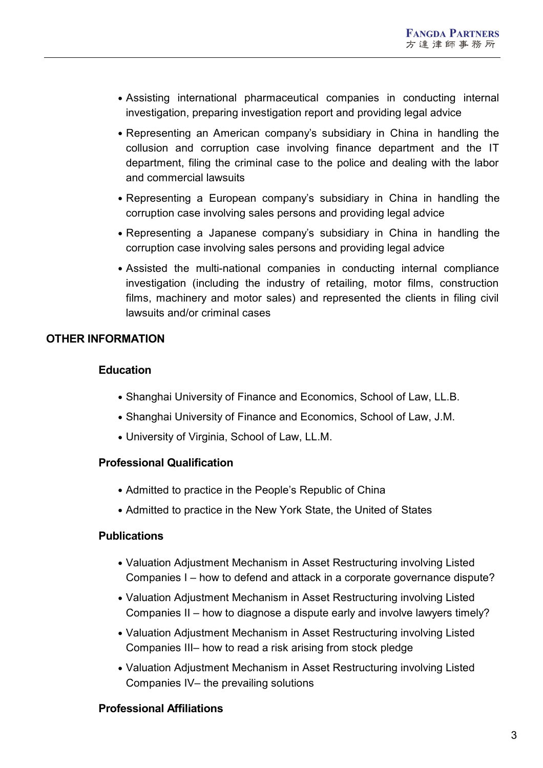- Assisting international pharmaceutical companies in conducting internal investigation, preparing investigation report and providing legal advice
- Representing an American company's subsidiary in China in handling the collusion and corruption case involving finance department and the IT department, filing the criminal case to the police and dealing with the labor and commercial lawsuits
- Representing a European company's subsidiary in China in handling the corruption case involving sales persons and providing legal advice
- Representing a Japanese company's subsidiary in China in handling the corruption case involving sales persons and providing legal advice
- Assisted the multi-national companies in conducting internal compliance investigation (including the industry of retailing, motor films, construction films, machinery and motor sales) and represented the clients in filing civil lawsuits and/or criminal cases

#### **OTHER INFORMATION**

#### **Education**

- Shanghai University of Finance and Economics, School of Law, LL.B.
- Shanghai University of Finance and Economics, School of Law, J.M.
- University of Virginia, School of Law, LL.M.

#### **Professional Qualification**

- Admitted to practice in the People's Republic of China
- Admitted to practice in the New York State, the United of States

#### **Publications**

- Valuation Adjustment Mechanism in Asset Restructuring involving Listed Companies I – how to defend and attack in a corporate governance dispute?
- Valuation Adjustment Mechanism in Asset Restructuring involving Listed Companies II – how to diagnose a dispute early and involve lawyers timely?
- Valuation Adjustment Mechanism in Asset Restructuring involving Listed Companies III– how to read a risk arising from stock pledge
- Valuation Adjustment Mechanism in Asset Restructuring involving Listed Companies IV– the prevailing solutions

#### **Professional Affiliations**